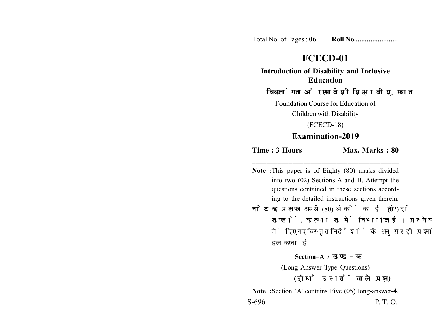Total No. of Pages : **06 Roll No........................**

## **FCECD-01**

**Introduction of Disability and Inclusive Education**

## विकलांगता और समावेशी शिक्षा की शुरूवात

Foundation Course for Education of

Children with Disability

(FCECD-18)

## **Examination-2019**

**\_\_\_\_\_\_\_\_\_\_\_\_\_\_\_\_\_\_\_\_\_\_\_\_\_\_\_\_\_\_\_\_\_\_\_\_\_\_\_\_**

**Time : 3 Hours Max. Marks : 80** 

- **Note :**This paper is of Eighty (80) marks divided into two (02) Sections A and B. Attempt the questions contained in these sections according to the detailed instructions given therein.
- **नोट:** यह प्रश्नपत्र अस्सी (80) अंकों का है जो दो (02) खण्डों, क तथा ख में विभाजित है। प्रत्येक खण्ड में दिए गए विस्तृत निर्देशों के अनुसार ही प्रश्नों को हल करना है।

**Section–A /** 

(Long Answer Type Questions) (दीर्घ उत्तरों वाले प्रश्न)

**Note :**Section 'A' contains Five (05) long-answer-4. S-696 P. T. O.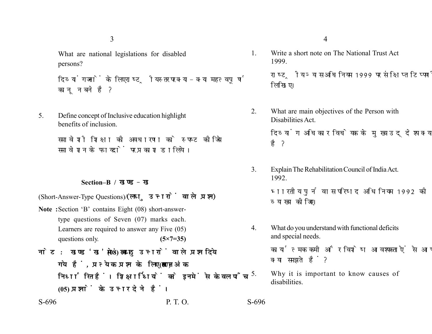3

What are national legislations for disabled persons?

दिव्यांगजनों के लिए राष्ट्रीय स्तर पर क्या-क्या महत्वपूर्ण कानून बने है ?

5. Define concept of Inclusive education highlight benefits of inclusion.

> समावेशी शिक्षा की अवधारणा को स्पष्ट कीजिये समावेशन के फायदों पर प्रकाश डालिये।

## **Section–B /**

(Short-Answer-Type Questions)/(लघु उत्तरों वाले प्रश्न)

- **Note :**Section 'B' contains Eight (08) short-answertype questions of Seven (07) marks each. Learners are required to answer any Five (05) questions only. **(5×7=35)**
- नोट: खण्ड'ख' में आठ (08) लघु उत्तरों वाले प्रश्न दिये गये हैं, प्रत्येक प्रश्न के लिए सात (07) अंक निर्धारित हैं। शिक्षार्थियों को इनमें से केवल पाँच **(05) प्रश्नों के उत्तर देने हैं।**

1. Write a short note on The National Trust Act 1999.

> राष्ट्रीय न्यास अधिनियम 1999 पर संक्षिप्त टिप्पणी लिखिए।

2. What are main objectives of the Person with Disabilities Act.

> दिव्यांग अधिकार विधेयक के मुख्य उद्देश्य क्या है?

3. Explain The Rehabilitation Council of India Act. 1992.

> भारतीय पुर्नवास परिषद अधिनियम 1992 की व्याख्या कीजिए।

4. What do you understand with functional deficits and special needs.

> कार्यात्मक कमी और विशेष आवश्यकताऐं से आप क्या समझते हैं?

5. Why it is important to know causes of disabilities.